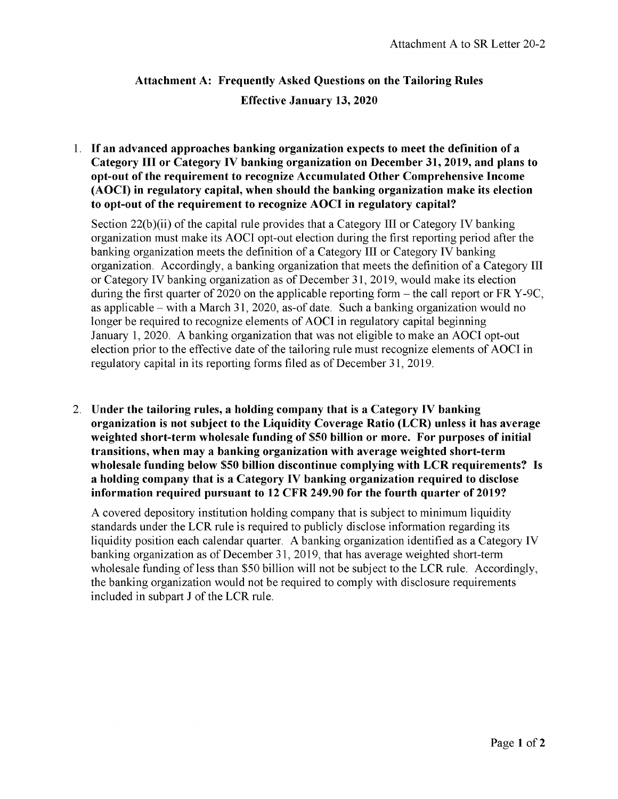## **Attachment A: Frequently Asked Questions on the Tailoring Rules Effective January 13, 2020**

1. **If an advanced approaches banking organization expects to meet the definition of a Category III or Category IV banking organization on December 31, 2019, and plans to opt-out of the requirement to recognize Accumulated Other Comprehensive Income (AOCI) in regulatory capital, when should the banking organization make its election to opt-out of the requirement to recognize AOCI in regulatory capital?**

Section 22(b)(ii) of the capital rule provides that a Category III or Category IV banking organization must make its AOCI opt-out election during the first reporting period after the banking organization meets the definition of a Category III or Category IV banking organization. Accordingly, a banking organization that meets the definition of a Category III or Category IV banking organization as of December 31, 2019, would make its election during the first quarter of 2020 on the applicable reporting form  $-$  the call report or FR Y-9C, as applicable – with a March 31, 2020, as-of date. Such a banking organization would no longer be required to recognize elements of AOCI in regulatory capital beginning January 1, 2020. A banking organization that was not eligible to make an AOCI opt-out election prior to the effective date of the tailoring rule must recognize elements of AOCI in regulatory capital in its reporting forms filed as of December 31, 2019.

2. **Under the tailoring rules, a holding company that is a Category IV banking organization is not subject to the Liquidity Coverage Ratio (LCR) unless it has average weighted short-term wholesale funding of \$50 billion or more. For purposes of initial transitions, when may a banking organization with average weighted short-term wholesale funding below \$50 billion discontinue complying with LCR requirements? Is a holding company that is a Category IV banking organization required to disclose information required pursuant to 12 CFR 249.90 for the fourth quarter of 2019?**

A covered depository institution holding company that is subject to minimum liquidity standards under the LCR rule is required to publicly disclose information regarding its liquidity position each calendar quarter. A banking organization identified as a Category IV banking organization as of December 31, 2019, that has average weighted short-term wholesale funding of less than \$50 billion will not be subject to the LCR rule. Accordingly, the banking organization would not be required to comply with disclosure requirements included in subpart J of the LCR rule.